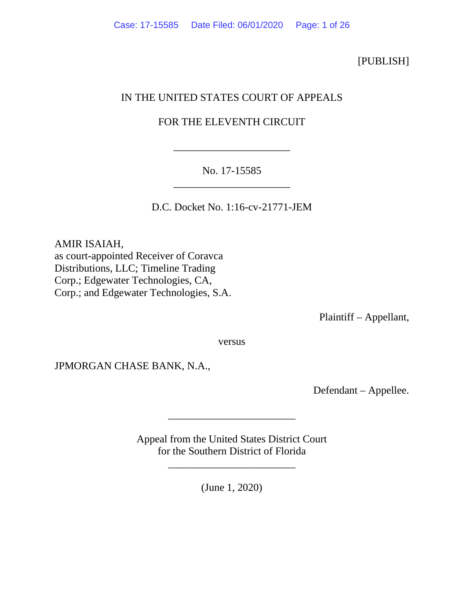### [PUBLISH]

# IN THE UNITED STATES COURT OF APPEALS

# FOR THE ELEVENTH CIRCUIT

\_\_\_\_\_\_\_\_\_\_\_\_\_\_\_\_\_\_\_\_\_\_

## No. 17-15585 \_\_\_\_\_\_\_\_\_\_\_\_\_\_\_\_\_\_\_\_\_\_

D.C. Docket No. 1:16-cv-21771-JEM

AMIR ISAIAH, as court-appointed Receiver of Coravca Distributions, LLC; Timeline Trading Corp.; Edgewater Technologies, CA, Corp.; and Edgewater Technologies, S.A.

Plaintiff – Appellant,

versus

JPMORGAN CHASE BANK, N.A.,

Defendant – Appellee.

Appeal from the United States District Court for the Southern District of Florida

\_\_\_\_\_\_\_\_\_\_\_\_\_\_\_\_\_\_\_\_\_\_\_\_

\_\_\_\_\_\_\_\_\_\_\_\_\_\_\_\_\_\_\_\_\_\_\_\_

(June 1, 2020)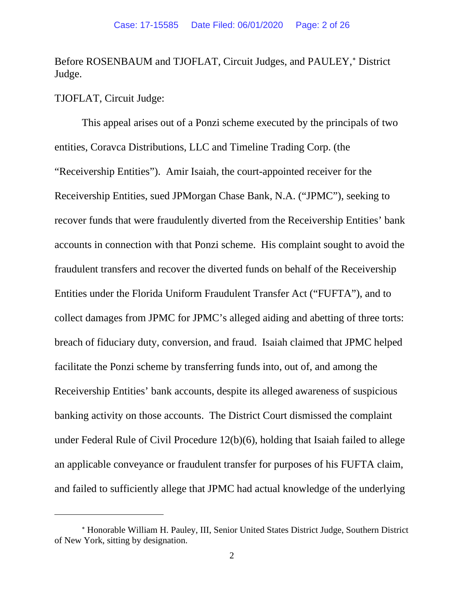Before ROSENBAUM and TJOFLAT, Circuit Judges, and PAULEY,\* District Judge.

TJOFLAT, Circuit Judge:

This appeal arises out of a Ponzi scheme executed by the principals of two entities, Coravca Distributions, LLC and Timeline Trading Corp. (the "Receivership Entities"). Amir Isaiah, the court-appointed receiver for the Receivership Entities, sued JPMorgan Chase Bank, N.A. ("JPMC"), seeking to recover funds that were fraudulently diverted from the Receivership Entities' bank accounts in connection with that Ponzi scheme. His complaint sought to avoid the fraudulent transfers and recover the diverted funds on behalf of the Receivership Entities under the Florida Uniform Fraudulent Transfer Act ("FUFTA"), and to collect damages from JPMC for JPMC's alleged aiding and abetting of three torts: breach of fiduciary duty, conversion, and fraud. Isaiah claimed that JPMC helped facilitate the Ponzi scheme by transferring funds into, out of, and among the Receivership Entities' bank accounts, despite its alleged awareness of suspicious banking activity on those accounts. The District Court dismissed the complaint under Federal Rule of Civil Procedure 12(b)(6), holding that Isaiah failed to allege an applicable conveyance or fraudulent transfer for purposes of his FUFTA claim, and failed to sufficiently allege that JPMC had actual knowledge of the underlying

<span id="page-1-0"></span><sup>∗</sup> Honorable William H. Pauley, III, Senior United States District Judge, Southern District of New York, sitting by designation.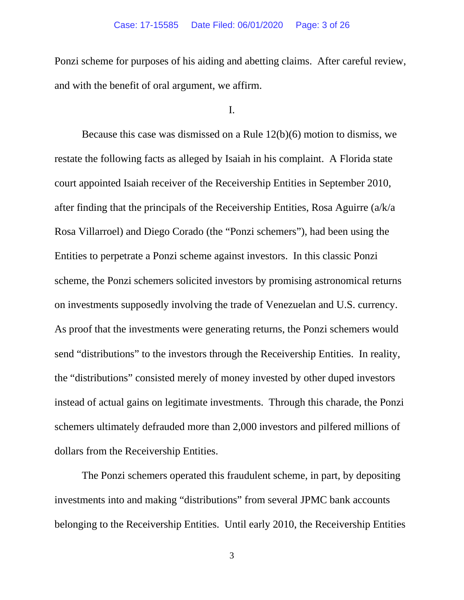Ponzi scheme for purposes of his aiding and abetting claims. After careful review, and with the benefit of oral argument, we affirm.

#### I.

Because this case was dismissed on a Rule 12(b)(6) motion to dismiss, we restate the following facts as alleged by Isaiah in his complaint. A Florida state court appointed Isaiah receiver of the Receivership Entities in September 2010, after finding that the principals of the Receivership Entities, Rosa Aguirre (a/k/a Rosa Villarroel) and Diego Corado (the "Ponzi schemers"), had been using the Entities to perpetrate a Ponzi scheme against investors. In this classic Ponzi scheme, the Ponzi schemers solicited investors by promising astronomical returns on investments supposedly involving the trade of Venezuelan and U.S. currency. As proof that the investments were generating returns, the Ponzi schemers would send "distributions" to the investors through the Receivership Entities. In reality, the "distributions" consisted merely of money invested by other duped investors instead of actual gains on legitimate investments. Through this charade, the Ponzi schemers ultimately defrauded more than 2,000 investors and pilfered millions of dollars from the Receivership Entities.

The Ponzi schemers operated this fraudulent scheme, in part, by depositing investments into and making "distributions" from several JPMC bank accounts belonging to the Receivership Entities. Until early 2010, the Receivership Entities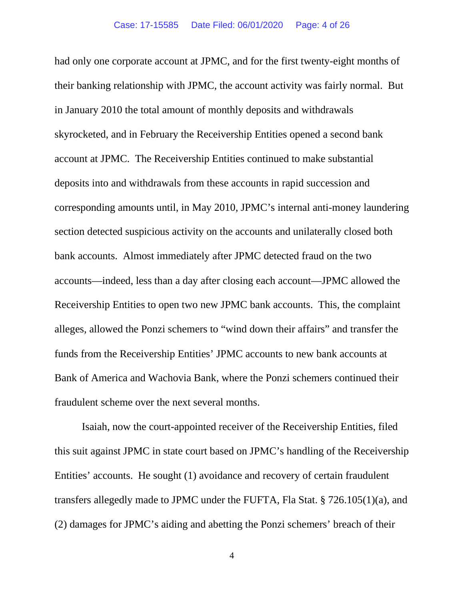had only one corporate account at JPMC, and for the first twenty-eight months of their banking relationship with JPMC, the account activity was fairly normal. But in January 2010 the total amount of monthly deposits and withdrawals skyrocketed, and in February the Receivership Entities opened a second bank account at JPMC. The Receivership Entities continued to make substantial deposits into and withdrawals from these accounts in rapid succession and corresponding amounts until, in May 2010, JPMC's internal anti-money laundering section detected suspicious activity on the accounts and unilaterally closed both bank accounts. Almost immediately after JPMC detected fraud on the two accounts—indeed, less than a day after closing each account—JPMC allowed the Receivership Entities to open two new JPMC bank accounts. This, the complaint alleges, allowed the Ponzi schemers to "wind down their affairs" and transfer the funds from the Receivership Entities' JPMC accounts to new bank accounts at Bank of America and Wachovia Bank, where the Ponzi schemers continued their fraudulent scheme over the next several months.

Isaiah, now the court-appointed receiver of the Receivership Entities, filed this suit against JPMC in state court based on JPMC's handling of the Receivership Entities' accounts. He sought (1) avoidance and recovery of certain fraudulent transfers allegedly made to JPMC under the FUFTA, Fla Stat. § 726.105(1)(a), and (2) damages for JPMC's aiding and abetting the Ponzi schemers' breach of their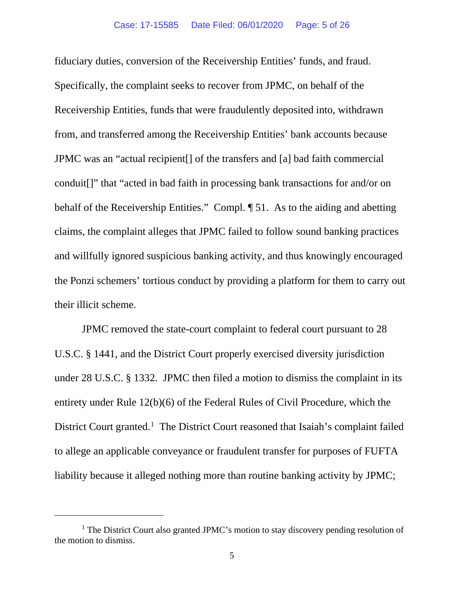fiduciary duties, conversion of the Receivership Entities' funds, and fraud. Specifically, the complaint seeks to recover from JPMC, on behalf of the Receivership Entities, funds that were fraudulently deposited into, withdrawn from, and transferred among the Receivership Entities' bank accounts because JPMC was an "actual recipient[] of the transfers and [a] bad faith commercial conduit[]" that "acted in bad faith in processing bank transactions for and/or on behalf of the Receivership Entities." Compl. ¶ 51. As to the aiding and abetting claims, the complaint alleges that JPMC failed to follow sound banking practices and willfully ignored suspicious banking activity, and thus knowingly encouraged the Ponzi schemers' tortious conduct by providing a platform for them to carry out their illicit scheme.

JPMC removed the state-court complaint to federal court pursuant to 28 U.S.C. § 1441, and the District Court properly exercised diversity jurisdiction under 28 U.S.C. § 1332. JPMC then filed a motion to dismiss the complaint in its entirety under Rule 12(b)(6) of the Federal Rules of Civil Procedure, which the District Court granted.<sup>[1](#page-4-0)</sup> The District Court reasoned that Isaiah's complaint failed to allege an applicable conveyance or fraudulent transfer for purposes of FUFTA liability because it alleged nothing more than routine banking activity by JPMC;

<span id="page-4-0"></span><sup>&</sup>lt;sup>1</sup> The District Court also granted JPMC's motion to stay discovery pending resolution of the motion to dismiss.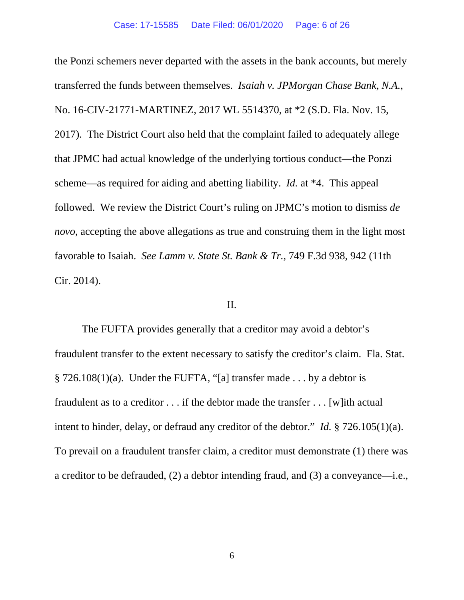the Ponzi schemers never departed with the assets in the bank accounts, but merely transferred the funds between themselves. *Isaiah v. JPMorgan Chase Bank, N.A.*, No. 16-CIV-21771-MARTINEZ, 2017 WL 5514370, at \*2 (S.D. Fla. Nov. 15, 2017). The District Court also held that the complaint failed to adequately allege that JPMC had actual knowledge of the underlying tortious conduct—the Ponzi scheme—as required for aiding and abetting liability. *Id.* at \*4. This appeal followed. We review the District Court's ruling on JPMC's motion to dismiss *de novo*, accepting the above allegations as true and construing them in the light most favorable to Isaiah. *See Lamm v. State St. Bank & Tr.*, 749 F.3d 938, 942 (11th Cir. 2014).

#### II.

The FUFTA provides generally that a creditor may avoid a debtor's fraudulent transfer to the extent necessary to satisfy the creditor's claim. Fla. Stat. § 726.108(1)(a). Under the FUFTA, "[a] transfer made . . . by a debtor is fraudulent as to a creditor . . . if the debtor made the transfer . . . [w]ith actual intent to hinder, delay, or defraud any creditor of the debtor." *Id.* § 726.105(1)(a). To prevail on a fraudulent transfer claim, a creditor must demonstrate (1) there was a creditor to be defrauded, (2) a debtor intending fraud, and (3) a conveyance—i.e.,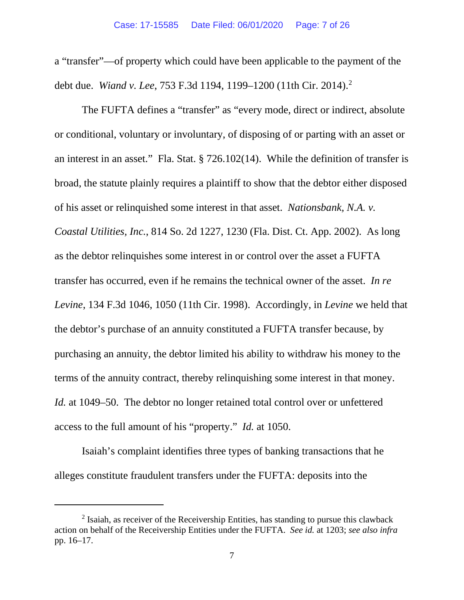a "transfer"—of property which could have been applicable to the payment of the debt due. *Wiand v. Lee*, 753 F.3d 1194, 1199–1200 (11th Cir. 2014).[2](#page-6-0)

The FUFTA defines a "transfer" as "every mode, direct or indirect, absolute or conditional, voluntary or involuntary, of disposing of or parting with an asset or an interest in an asset." Fla. Stat. § 726.102(14). While the definition of transfer is broad, the statute plainly requires a plaintiff to show that the debtor either disposed of his asset or relinquished some interest in that asset. *Nationsbank, N.A. v. Coastal Utilities, Inc.*, 814 So. 2d 1227, 1230 (Fla. Dist. Ct. App. 2002). As long as the debtor relinquishes some interest in or control over the asset a FUFTA transfer has occurred, even if he remains the technical owner of the asset. *In re Levine*, 134 F.3d 1046, 1050 (11th Cir. 1998). Accordingly, in *Levine* we held that the debtor's purchase of an annuity constituted a FUFTA transfer because, by purchasing an annuity, the debtor limited his ability to withdraw his money to the terms of the annuity contract, thereby relinquishing some interest in that money. *Id.* at 1049–50. The debtor no longer retained total control over or unfettered access to the full amount of his "property." *Id.* at 1050.

Isaiah's complaint identifies three types of banking transactions that he alleges constitute fraudulent transfers under the FUFTA: deposits into the

<span id="page-6-0"></span> $2$  Isaiah, as receiver of the Receivership Entities, has standing to pursue this clawback action on behalf of the Receivership Entities under the FUFTA. *See id.* at 1203; *see also infra*  pp. 16–17.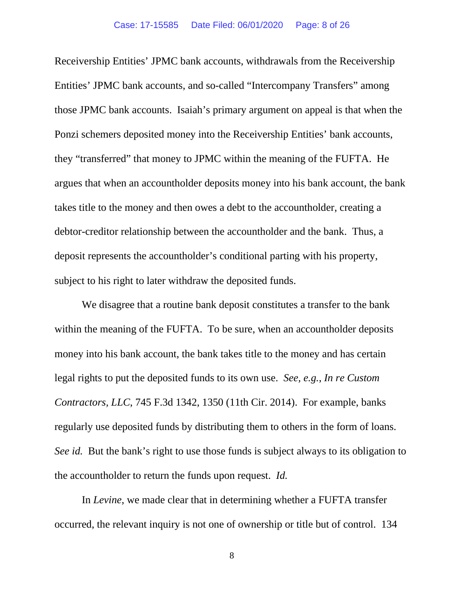Receivership Entities' JPMC bank accounts, withdrawals from the Receivership Entities' JPMC bank accounts, and so-called "Intercompany Transfers" among those JPMC bank accounts. Isaiah's primary argument on appeal is that when the Ponzi schemers deposited money into the Receivership Entities' bank accounts, they "transferred" that money to JPMC within the meaning of the FUFTA. He argues that when an accountholder deposits money into his bank account, the bank takes title to the money and then owes a debt to the accountholder, creating a debtor-creditor relationship between the accountholder and the bank. Thus, a deposit represents the accountholder's conditional parting with his property, subject to his right to later withdraw the deposited funds.

We disagree that a routine bank deposit constitutes a transfer to the bank within the meaning of the FUFTA. To be sure, when an accountholder deposits money into his bank account, the bank takes title to the money and has certain legal rights to put the deposited funds to its own use. *See, e.g.*, *In re Custom Contractors, LLC*, 745 F.3d 1342, 1350 (11th Cir. 2014). For example, banks regularly use deposited funds by distributing them to others in the form of loans. *See id.* But the bank's right to use those funds is subject always to its obligation to the accountholder to return the funds upon request. *Id.*

In *Levine*, we made clear that in determining whether a FUFTA transfer occurred, the relevant inquiry is not one of ownership or title but of control. 134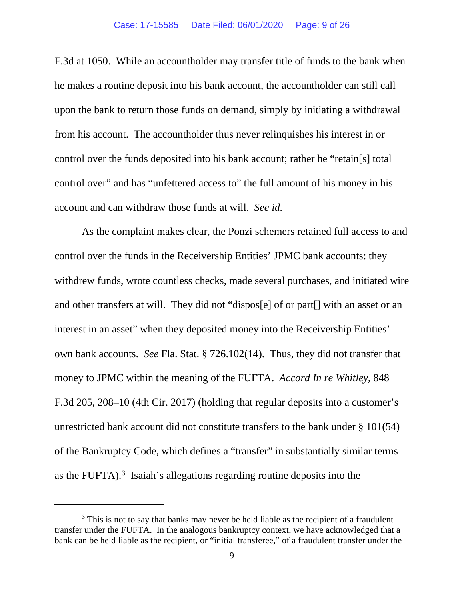#### Case: 17-15585 Date Filed: 06/01/2020 Page: 9 of 26

F.3d at 1050. While an accountholder may transfer title of funds to the bank when he makes a routine deposit into his bank account, the accountholder can still call upon the bank to return those funds on demand, simply by initiating a withdrawal from his account. The accountholder thus never relinquishes his interest in or control over the funds deposited into his bank account; rather he "retain[s] total control over" and has "unfettered access to" the full amount of his money in his account and can withdraw those funds at will. *See id.*

As the complaint makes clear, the Ponzi schemers retained full access to and control over the funds in the Receivership Entities' JPMC bank accounts: they withdrew funds, wrote countless checks, made several purchases, and initiated wire and other transfers at will. They did not "dispos[e] of or part[] with an asset or an interest in an asset" when they deposited money into the Receivership Entities' own bank accounts. *See* Fla. Stat. § 726.102(14). Thus, they did not transfer that money to JPMC within the meaning of the FUFTA. *Accord In re Whitley*, 848 F.3d 205, 208–10 (4th Cir. 2017) (holding that regular deposits into a customer's unrestricted bank account did not constitute transfers to the bank under § 101(54) of the Bankruptcy Code, which defines a "transfer" in substantially similar terms as the FUFTA).<sup>[3](#page-8-0)</sup> Isaiah's allegations regarding routine deposits into the

<span id="page-8-0"></span><sup>&</sup>lt;sup>3</sup> This is not to say that banks may never be held liable as the recipient of a fraudulent transfer under the FUFTA. In the analogous bankruptcy context, we have acknowledged that a bank can be held liable as the recipient, or "initial transferee," of a fraudulent transfer under the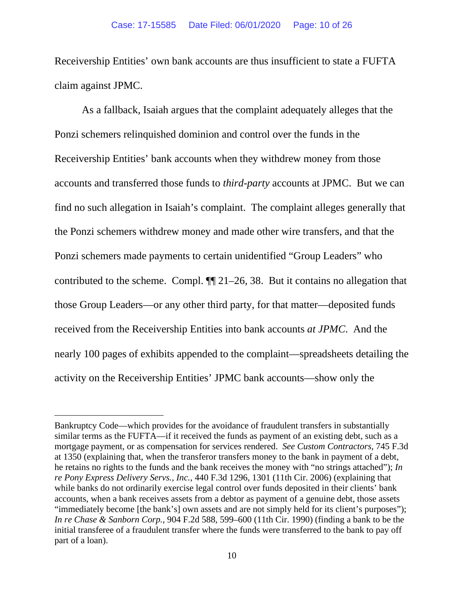Receivership Entities' own bank accounts are thus insufficient to state a FUFTA claim against JPMC.

As a fallback, Isaiah argues that the complaint adequately alleges that the Ponzi schemers relinquished dominion and control over the funds in the Receivership Entities' bank accounts when they withdrew money from those accounts and transferred those funds to *third-party* accounts at JPMC. But we can find no such allegation in Isaiah's complaint. The complaint alleges generally that the Ponzi schemers withdrew money and made other wire transfers, and that the Ponzi schemers made payments to certain unidentified "Group Leaders" who contributed to the scheme. Compl. ¶¶ 21–26, 38. But it contains no allegation that those Group Leaders—or any other third party, for that matter—deposited funds received from the Receivership Entities into bank accounts *at JPMC*. And the nearly 100 pages of exhibits appended to the complaint—spreadsheets detailing the activity on the Receivership Entities' JPMC bank accounts—show only the

Bankruptcy Code—which provides for the avoidance of fraudulent transfers in substantially similar terms as the FUFTA—if it received the funds as payment of an existing debt, such as a mortgage payment, or as compensation for services rendered. *See Custom Contractors*, 745 F.3d at 1350 (explaining that, when the transferor transfers money to the bank in payment of a debt, he retains no rights to the funds and the bank receives the money with "no strings attached"); *In re Pony Express Delivery Servs., Inc.*, 440 F.3d 1296, 1301 (11th Cir. 2006) (explaining that while banks do not ordinarily exercise legal control over funds deposited in their clients' bank accounts, when a bank receives assets from a debtor as payment of a genuine debt, those assets "immediately become [the bank's] own assets and are not simply held for its client's purposes"); *In re Chase & Sanborn Corp.*, 904 F.2d 588, 599–600 (11th Cir. 1990) (finding a bank to be the initial transferee of a fraudulent transfer where the funds were transferred to the bank to pay off part of a loan).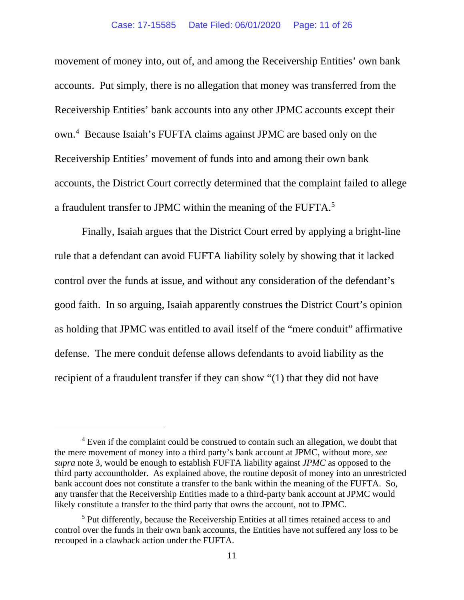#### Case: 17-15585 Date Filed: 06/01/2020 Page: 11 of 26

movement of money into, out of, and among the Receivership Entities' own bank accounts. Put simply, there is no allegation that money was transferred from the Receivership Entities' bank accounts into any other JPMC accounts except their own.[4](#page-10-0) Because Isaiah's FUFTA claims against JPMC are based only on the Receivership Entities' movement of funds into and among their own bank accounts, the District Court correctly determined that the complaint failed to allege a fraudulent transfer to JPMC within the meaning of the FUFTA.<sup>[5](#page-10-1)</sup>

Finally, Isaiah argues that the District Court erred by applying a bright-line rule that a defendant can avoid FUFTA liability solely by showing that it lacked control over the funds at issue, and without any consideration of the defendant's good faith. In so arguing, Isaiah apparently construes the District Court's opinion as holding that JPMC was entitled to avail itself of the "mere conduit" affirmative defense. The mere conduit defense allows defendants to avoid liability as the recipient of a fraudulent transfer if they can show "(1) that they did not have

<span id="page-10-0"></span><sup>&</sup>lt;sup>4</sup> Even if the complaint could be construed to contain such an allegation, we doubt that the mere movement of money into a third party's bank account at JPMC, without more, *see supra* note 3, would be enough to establish FUFTA liability against *JPMC* as opposed to the third party accountholder. As explained above, the routine deposit of money into an unrestricted bank account does not constitute a transfer to the bank within the meaning of the FUFTA. So, any transfer that the Receivership Entities made to a third-party bank account at JPMC would likely constitute a transfer to the third party that owns the account, not to JPMC.

<span id="page-10-1"></span><sup>&</sup>lt;sup>5</sup> Put differently, because the Receivership Entities at all times retained access to and control over the funds in their own bank accounts, the Entities have not suffered any loss to be recouped in a clawback action under the FUFTA.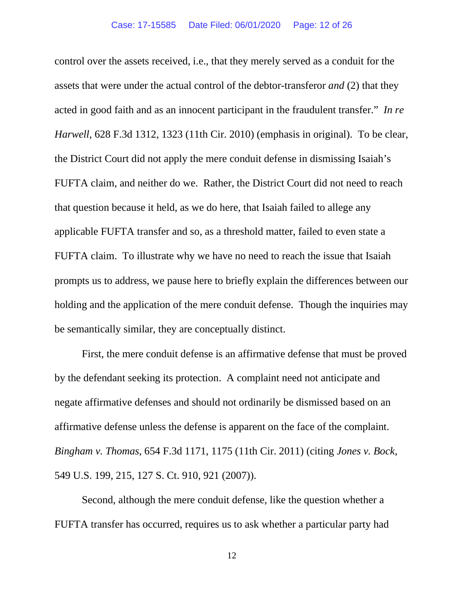control over the assets received, i.e., that they merely served as a conduit for the assets that were under the actual control of the debtor-transferor *and* (2) that they acted in good faith and as an innocent participant in the fraudulent transfer." *In re Harwell*, 628 F.3d 1312, 1323 (11th Cir. 2010) (emphasis in original). To be clear, the District Court did not apply the mere conduit defense in dismissing Isaiah's FUFTA claim, and neither do we. Rather, the District Court did not need to reach that question because it held, as we do here, that Isaiah failed to allege any applicable FUFTA transfer and so, as a threshold matter, failed to even state a FUFTA claim. To illustrate why we have no need to reach the issue that Isaiah prompts us to address, we pause here to briefly explain the differences between our holding and the application of the mere conduit defense. Though the inquiries may be semantically similar, they are conceptually distinct.

First, the mere conduit defense is an affirmative defense that must be proved by the defendant seeking its protection. A complaint need not anticipate and negate affirmative defenses and should not ordinarily be dismissed based on an affirmative defense unless the defense is apparent on the face of the complaint. *Bingham v. Thomas*, 654 F.3d 1171, 1175 (11th Cir. 2011) (citing *Jones v. Bock*, 549 U.S. 199, 215, 127 S. Ct. 910, 921 (2007)).

Second, although the mere conduit defense, like the question whether a FUFTA transfer has occurred, requires us to ask whether a particular party had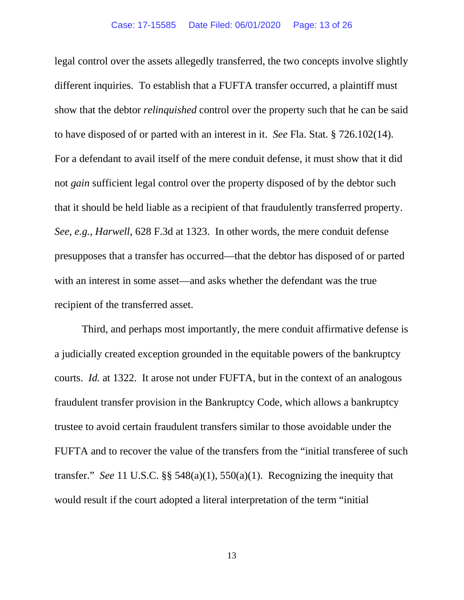legal control over the assets allegedly transferred, the two concepts involve slightly different inquiries. To establish that a FUFTA transfer occurred, a plaintiff must show that the debtor *relinquished* control over the property such that he can be said to have disposed of or parted with an interest in it. *See* Fla. Stat. § 726.102(14). For a defendant to avail itself of the mere conduit defense, it must show that it did not *gain* sufficient legal control over the property disposed of by the debtor such that it should be held liable as a recipient of that fraudulently transferred property. *See, e.g.*, *Harwell*, 628 F.3d at 1323. In other words, the mere conduit defense presupposes that a transfer has occurred—that the debtor has disposed of or parted with an interest in some asset—and asks whether the defendant was the true recipient of the transferred asset.

Third, and perhaps most importantly, the mere conduit affirmative defense is a judicially created exception grounded in the equitable powers of the bankruptcy courts. *Id.* at 1322. It arose not under FUFTA, but in the context of an analogous fraudulent transfer provision in the Bankruptcy Code, which allows a bankruptcy trustee to avoid certain fraudulent transfers similar to those avoidable under the FUFTA and to recover the value of the transfers from the "initial transferee of such transfer." *See* 11 U.S.C. §§ 548(a)(1), 550(a)(1). Recognizing the inequity that would result if the court adopted a literal interpretation of the term "initial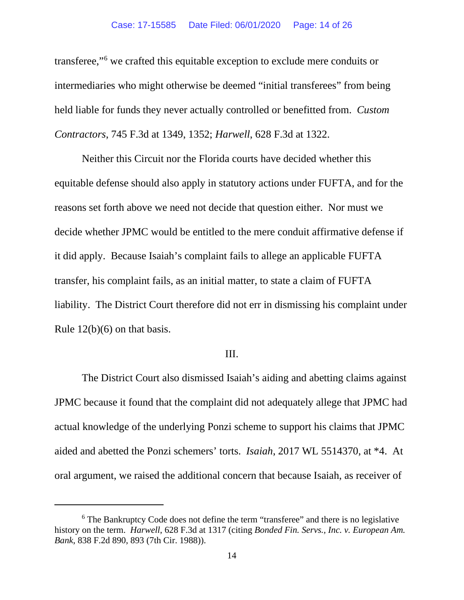transferee,["6](#page-13-0) we crafted this equitable exception to exclude mere conduits or intermediaries who might otherwise be deemed "initial transferees" from being held liable for funds they never actually controlled or benefitted from. *Custom Contractors*, 745 F.3d at 1349, 1352; *Harwell*, 628 F.3d at 1322.

Neither this Circuit nor the Florida courts have decided whether this equitable defense should also apply in statutory actions under FUFTA, and for the reasons set forth above we need not decide that question either. Nor must we decide whether JPMC would be entitled to the mere conduit affirmative defense if it did apply. Because Isaiah's complaint fails to allege an applicable FUFTA transfer, his complaint fails, as an initial matter, to state a claim of FUFTA liability. The District Court therefore did not err in dismissing his complaint under Rule 12(b)(6) on that basis.

#### III.

The District Court also dismissed Isaiah's aiding and abetting claims against JPMC because it found that the complaint did not adequately allege that JPMC had actual knowledge of the underlying Ponzi scheme to support his claims that JPMC aided and abetted the Ponzi schemers' torts. *Isaiah*, 2017 WL 5514370, at \*4. At oral argument, we raised the additional concern that because Isaiah, as receiver of

<span id="page-13-0"></span><sup>6</sup> The Bankruptcy Code does not define the term "transferee" and there is no legislative history on the term. *Harwell*, 628 F.3d at 1317 (citing *Bonded Fin. Servs., Inc. v. European Am. Bank*, 838 F.2d 890, 893 (7th Cir. 1988)).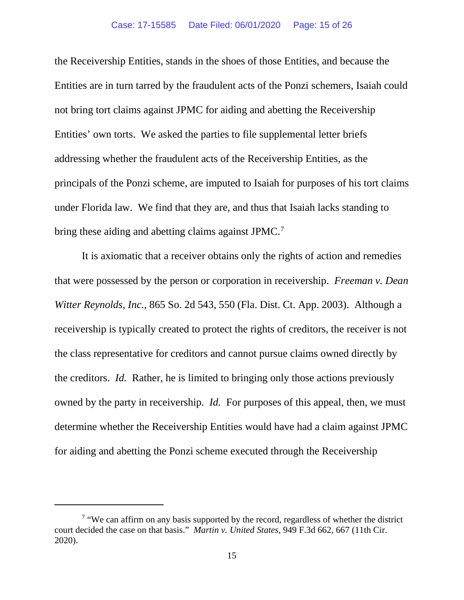#### Case: 17-15585 Date Filed: 06/01/2020 Page: 15 of 26

the Receivership Entities, stands in the shoes of those Entities, and because the Entities are in turn tarred by the fraudulent acts of the Ponzi schemers, Isaiah could not bring tort claims against JPMC for aiding and abetting the Receivership Entities' own torts. We asked the parties to file supplemental letter briefs addressing whether the fraudulent acts of the Receivership Entities, as the principals of the Ponzi scheme, are imputed to Isaiah for purposes of his tort claims under Florida law. We find that they are, and thus that Isaiah lacks standing to bring these aiding and abetting claims against JPMC.<sup>[7](#page-14-0)</sup>

It is axiomatic that a receiver obtains only the rights of action and remedies that were possessed by the person or corporation in receivership. *Freeman v. Dean Witter Reynolds, Inc.*, 865 So. 2d 543, 550 (Fla. Dist. Ct. App. 2003). Although a receivership is typically created to protect the rights of creditors, the receiver is not the class representative for creditors and cannot pursue claims owned directly by the creditors. *Id.* Rather, he is limited to bringing only those actions previously owned by the party in receivership. *Id.* For purposes of this appeal, then, we must determine whether the Receivership Entities would have had a claim against JPMC for aiding and abetting the Ponzi scheme executed through the Receivership

<span id="page-14-0"></span><sup>&</sup>lt;sup>7</sup> "We can affirm on any basis supported by the record, regardless of whether the district court decided the case on that basis." *Martin v. United States*, 949 F.3d 662, 667 (11th Cir. 2020).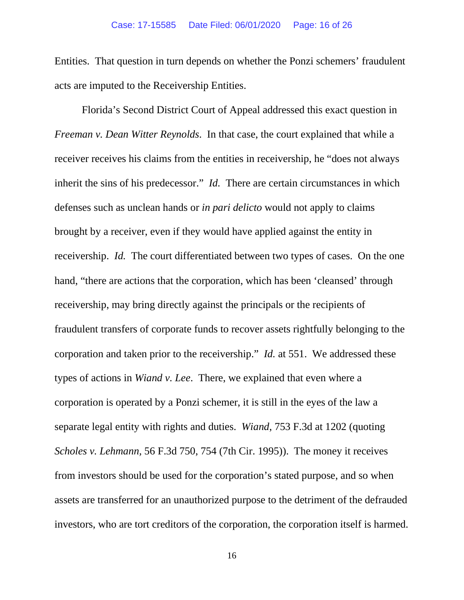Entities. That question in turn depends on whether the Ponzi schemers' fraudulent acts are imputed to the Receivership Entities.

Florida's Second District Court of Appeal addressed this exact question in *Freeman v. Dean Witter Reynolds*. In that case, the court explained that while a receiver receives his claims from the entities in receivership, he "does not always inherit the sins of his predecessor." *Id.* There are certain circumstances in which defenses such as unclean hands or *in pari delicto* would not apply to claims brought by a receiver, even if they would have applied against the entity in receivership. *Id.* The court differentiated between two types of cases. On the one hand, "there are actions that the corporation, which has been 'cleansed' through receivership, may bring directly against the principals or the recipients of fraudulent transfers of corporate funds to recover assets rightfully belonging to the corporation and taken prior to the receivership." *Id.* at 551. We addressed these types of actions in *Wiand v. Lee*. There, we explained that even where a corporation is operated by a Ponzi schemer, it is still in the eyes of the law a separate legal entity with rights and duties. *Wiand*, 753 F.3d at 1202 (quoting *Scholes v. Lehmann,* 56 F.3d 750, 754 (7th Cir. 1995)). The money it receives from investors should be used for the corporation's stated purpose, and so when assets are transferred for an unauthorized purpose to the detriment of the defrauded investors, who are tort creditors of the corporation, the corporation itself is harmed.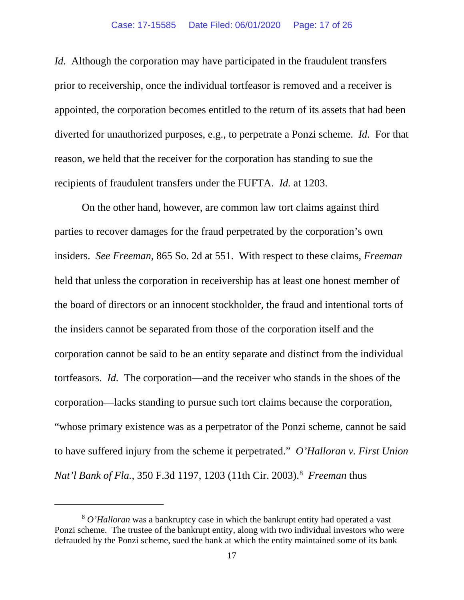#### Case: 17-15585 Date Filed: 06/01/2020 Page: 17 of 26

*Id.* Although the corporation may have participated in the fraudulent transfers prior to receivership, once the individual tortfeasor is removed and a receiver is appointed, the corporation becomes entitled to the return of its assets that had been diverted for unauthorized purposes, e.g., to perpetrate a Ponzi scheme. *Id.* For that reason, we held that the receiver for the corporation has standing to sue the recipients of fraudulent transfers under the FUFTA. *Id.* at 1203.

On the other hand, however, are common law tort claims against third parties to recover damages for the fraud perpetrated by the corporation's own insiders. *See Freeman*, 865 So. 2d at 551. With respect to these claims, *Freeman*  held that unless the corporation in receivership has at least one honest member of the board of directors or an innocent stockholder, the fraud and intentional torts of the insiders cannot be separated from those of the corporation itself and the corporation cannot be said to be an entity separate and distinct from the individual tortfeasors. *Id.* The corporation—and the receiver who stands in the shoes of the corporation—lacks standing to pursue such tort claims because the corporation, "whose primary existence was as a perpetrator of the Ponzi scheme, cannot be said to have suffered injury from the scheme it perpetrated." *O'Halloran v. First Union Nat'l Bank of Fla.*, 350 F.3d 1197, 1203 (11th Cir. 2003).[8](#page-16-0) *Freeman* thus

<span id="page-16-0"></span><sup>8</sup> *O'Halloran* was a bankruptcy case in which the bankrupt entity had operated a vast Ponzi scheme. The trustee of the bankrupt entity, along with two individual investors who were defrauded by the Ponzi scheme, sued the bank at which the entity maintained some of its bank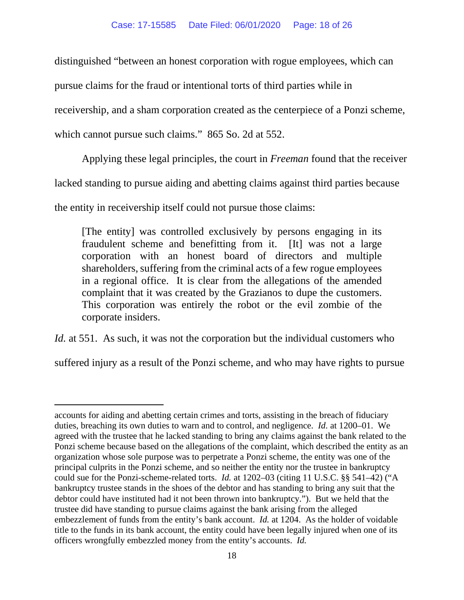distinguished "between an honest corporation with rogue employees, which can

pursue claims for the fraud or intentional torts of third parties while in

receivership, and a sham corporation created as the centerpiece of a Ponzi scheme,

which cannot pursue such claims." 865 So. 2d at 552.

Applying these legal principles, the court in *Freeman* found that the receiver

lacked standing to pursue aiding and abetting claims against third parties because

the entity in receivership itself could not pursue those claims:

[The entity] was controlled exclusively by persons engaging in its fraudulent scheme and benefitting from it. [It] was not a large corporation with an honest board of directors and multiple shareholders, suffering from the criminal acts of a few rogue employees in a regional office. It is clear from the allegations of the amended complaint that it was created by the Grazianos to dupe the customers. This corporation was entirely the robot or the evil zombie of the corporate insiders.

*Id.* at 551. As such, it was not the corporation but the individual customers who

suffered injury as a result of the Ponzi scheme, and who may have rights to pursue

accounts for aiding and abetting certain crimes and torts, assisting in the breach of fiduciary duties, breaching its own duties to warn and to control, and negligence. *Id.* at 1200–01. We agreed with the trustee that he lacked standing to bring any claims against the bank related to the Ponzi scheme because based on the allegations of the complaint, which described the entity as an organization whose sole purpose was to perpetrate a Ponzi scheme, the entity was one of the principal culprits in the Ponzi scheme, and so neither the entity nor the trustee in bankruptcy could sue for the Ponzi-scheme-related torts. *Id.* at 1202–03 (citing 11 U.S.C. §§ 541–42) ("A bankruptcy trustee stands in the shoes of the debtor and has standing to bring any suit that the debtor could have instituted had it not been thrown into bankruptcy."). But we held that the trustee did have standing to pursue claims against the bank arising from the alleged embezzlement of funds from the entity's bank account. *Id.* at 1204. As the holder of voidable title to the funds in its bank account, the entity could have been legally injured when one of its officers wrongfully embezzled money from the entity's accounts. *Id.*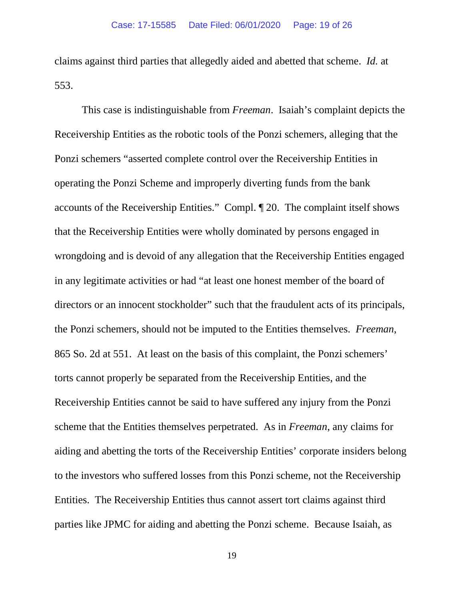claims against third parties that allegedly aided and abetted that scheme. *Id.* at 553.

This case is indistinguishable from *Freeman*. Isaiah's complaint depicts the Receivership Entities as the robotic tools of the Ponzi schemers, alleging that the Ponzi schemers "asserted complete control over the Receivership Entities in operating the Ponzi Scheme and improperly diverting funds from the bank accounts of the Receivership Entities." Compl. ¶ 20. The complaint itself shows that the Receivership Entities were wholly dominated by persons engaged in wrongdoing and is devoid of any allegation that the Receivership Entities engaged in any legitimate activities or had "at least one honest member of the board of directors or an innocent stockholder" such that the fraudulent acts of its principals, the Ponzi schemers, should not be imputed to the Entities themselves. *Freeman*, 865 So. 2d at 551. At least on the basis of this complaint, the Ponzi schemers' torts cannot properly be separated from the Receivership Entities, and the Receivership Entities cannot be said to have suffered any injury from the Ponzi scheme that the Entities themselves perpetrated. As in *Freeman*, any claims for aiding and abetting the torts of the Receivership Entities' corporate insiders belong to the investors who suffered losses from this Ponzi scheme, not the Receivership Entities. The Receivership Entities thus cannot assert tort claims against third parties like JPMC for aiding and abetting the Ponzi scheme. Because Isaiah, as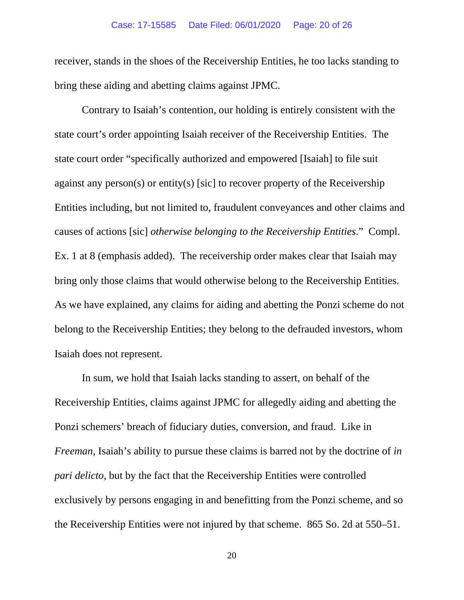receiver, stands in the shoes of the Receivership Entities, he too lacks standing to bring these aiding and abetting claims against JPMC.

Contrary to Isaiah's contention, our holding is entirely consistent with the state court's order appointing Isaiah receiver of the Receivership Entities. The state court order "specifically authorized and empowered [Isaiah] to file suit against any person(s) or entity(s) [sic] to recover property of the Receivership Entities including, but not limited to, fraudulent conveyances and other claims and causes of actions [sic] *otherwise belonging to the Receivership Entities*." Compl. Ex. 1 at 8 (emphasis added). The receivership order makes clear that Isaiah may bring only those claims that would otherwise belong to the Receivership Entities. As we have explained, any claims for aiding and abetting the Ponzi scheme do not belong to the Receivership Entities; they belong to the defrauded investors, whom Isaiah does not represent.

In sum, we hold that Isaiah lacks standing to assert, on behalf of the Receivership Entities, claims against JPMC for allegedly aiding and abetting the Ponzi schemers' breach of fiduciary duties, conversion, and fraud. Like in *Freeman*, Isaiah's ability to pursue these claims is barred not by the doctrine of *in pari delicto*, but by the fact that the Receivership Entities were controlled exclusively by persons engaging in and benefitting from the Ponzi scheme, and so the Receivership Entities were not injured by that scheme. 865 So. 2d at 550–51.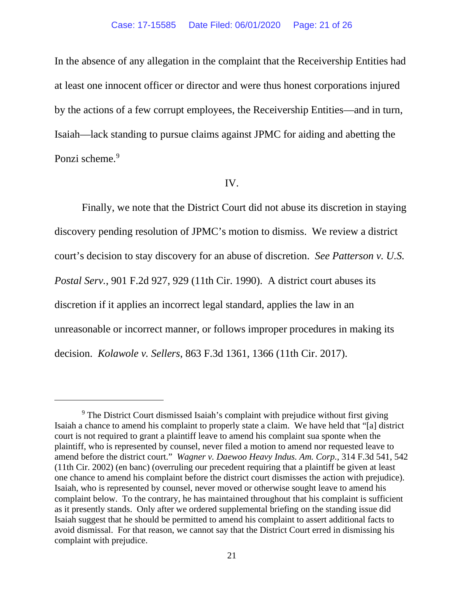In the absence of any allegation in the complaint that the Receivership Entities had at least one innocent officer or director and were thus honest corporations injured by the actions of a few corrupt employees, the Receivership Entities—and in turn, Isaiah—lack standing to pursue claims against JPMC for aiding and abetting the Ponzi scheme.<sup>9</sup>

#### IV.

Finally, we note that the District Court did not abuse its discretion in staying discovery pending resolution of JPMC's motion to dismiss. We review a district court's decision to stay discovery for an abuse of discretion. *See Patterson v. U.S. Postal Serv.*, 901 F.2d 927, 929 (11th Cir. 1990). A district court abuses its discretion if it applies an incorrect legal standard, applies the law in an unreasonable or incorrect manner, or follows improper procedures in making its decision. *Kolawole v. Sellers*, 863 F.3d 1361, 1366 (11th Cir. 2017).

<span id="page-20-0"></span><sup>&</sup>lt;sup>9</sup> The District Court dismissed Isaiah's complaint with prejudice without first giving Isaiah a chance to amend his complaint to properly state a claim. We have held that "[a] district court is not required to grant a plaintiff leave to amend his complaint sua sponte when the plaintiff, who is represented by counsel, never filed a motion to amend nor requested leave to amend before the district court." *Wagner v. Daewoo Heavy Indus. Am. Corp.*, 314 F.3d 541, 542 (11th Cir. 2002) (en banc) (overruling our precedent requiring that a plaintiff be given at least one chance to amend his complaint before the district court dismisses the action with prejudice). Isaiah, who is represented by counsel, never moved or otherwise sought leave to amend his complaint below. To the contrary, he has maintained throughout that his complaint is sufficient as it presently stands. Only after we ordered supplemental briefing on the standing issue did Isaiah suggest that he should be permitted to amend his complaint to assert additional facts to avoid dismissal. For that reason, we cannot say that the District Court erred in dismissing his complaint with prejudice.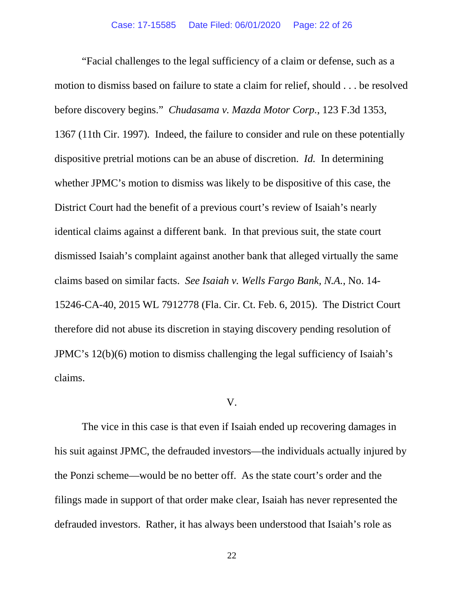"Facial challenges to the legal sufficiency of a claim or defense, such as a motion to dismiss based on failure to state a claim for relief, should . . . be resolved before discovery begins." *Chudasama v. Mazda Motor Corp.*, 123 F.3d 1353, 1367 (11th Cir. 1997). Indeed, the failure to consider and rule on these potentially dispositive pretrial motions can be an abuse of discretion. *Id.* In determining whether JPMC's motion to dismiss was likely to be dispositive of this case, the District Court had the benefit of a previous court's review of Isaiah's nearly identical claims against a different bank. In that previous suit, the state court dismissed Isaiah's complaint against another bank that alleged virtually the same claims based on similar facts. *See Isaiah v. Wells Fargo Bank, N.A.*, No. 14- 15246-CA-40, 2015 WL 7912778 (Fla. Cir. Ct. Feb. 6, 2015). The District Court therefore did not abuse its discretion in staying discovery pending resolution of JPMC's 12(b)(6) motion to dismiss challenging the legal sufficiency of Isaiah's claims.

### V.

The vice in this case is that even if Isaiah ended up recovering damages in his suit against JPMC, the defrauded investors—the individuals actually injured by the Ponzi scheme—would be no better off. As the state court's order and the filings made in support of that order make clear, Isaiah has never represented the defrauded investors. Rather, it has always been understood that Isaiah's role as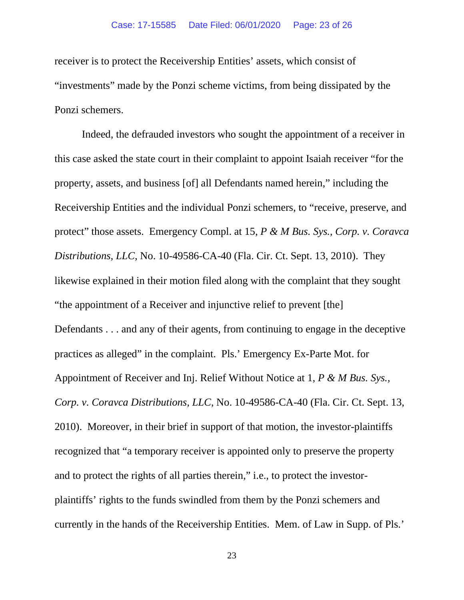receiver is to protect the Receivership Entities' assets, which consist of "investments" made by the Ponzi scheme victims, from being dissipated by the Ponzi schemers.

Indeed, the defrauded investors who sought the appointment of a receiver in this case asked the state court in their complaint to appoint Isaiah receiver "for the property, assets, and business [of] all Defendants named herein," including the Receivership Entities and the individual Ponzi schemers, to "receive, preserve, and protect" those assets. Emergency Compl. at 15, *P & M Bus. Sys., Corp. v. Coravca Distributions, LLC*, No. 10-49586-CA-40 (Fla. Cir. Ct. Sept. 13, 2010). They likewise explained in their motion filed along with the complaint that they sought "the appointment of a Receiver and injunctive relief to prevent [the] Defendants . . . and any of their agents, from continuing to engage in the deceptive practices as alleged" in the complaint. Pls.' Emergency Ex-Parte Mot. for Appointment of Receiver and Inj. Relief Without Notice at 1, *P & M Bus. Sys., Corp. v. Coravca Distributions, LLC*, No. 10-49586-CA-40 (Fla. Cir. Ct. Sept. 13, 2010). Moreover, in their brief in support of that motion, the investor-plaintiffs recognized that "a temporary receiver is appointed only to preserve the property and to protect the rights of all parties therein," i.e., to protect the investorplaintiffs' rights to the funds swindled from them by the Ponzi schemers and currently in the hands of the Receivership Entities. Mem. of Law in Supp. of Pls.'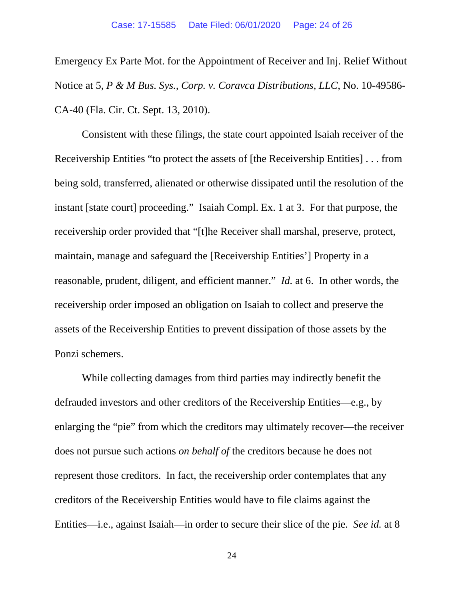Emergency Ex Parte Mot. for the Appointment of Receiver and Inj. Relief Without Notice at 5, *P & M Bus. Sys., Corp. v. Coravca Distributions, LLC*, No. 10-49586- CA-40 (Fla. Cir. Ct. Sept. 13, 2010).

Consistent with these filings, the state court appointed Isaiah receiver of the Receivership Entities "to protect the assets of [the Receivership Entities] . . . from being sold, transferred, alienated or otherwise dissipated until the resolution of the instant [state court] proceeding." Isaiah Compl. Ex. 1 at 3. For that purpose, the receivership order provided that "[t]he Receiver shall marshal, preserve, protect, maintain, manage and safeguard the [Receivership Entities'] Property in a reasonable, prudent, diligent, and efficient manner." *Id.* at 6. In other words, the receivership order imposed an obligation on Isaiah to collect and preserve the assets of the Receivership Entities to prevent dissipation of those assets by the Ponzi schemers.

While collecting damages from third parties may indirectly benefit the defrauded investors and other creditors of the Receivership Entities—e.g., by enlarging the "pie" from which the creditors may ultimately recover—the receiver does not pursue such actions *on behalf of* the creditors because he does not represent those creditors. In fact, the receivership order contemplates that any creditors of the Receivership Entities would have to file claims against the Entities—i.e., against Isaiah—in order to secure their slice of the pie. *See id.* at 8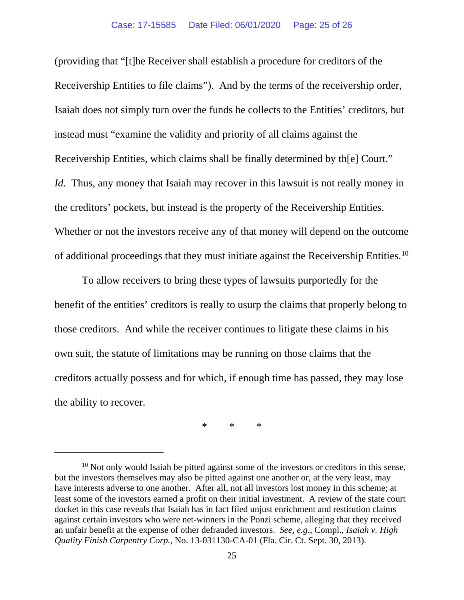(providing that "[t]he Receiver shall establish a procedure for creditors of the Receivership Entities to file claims"). And by the terms of the receivership order, Isaiah does not simply turn over the funds he collects to the Entities' creditors, but instead must "examine the validity and priority of all claims against the Receivership Entities, which claims shall be finally determined by th[e] Court." *Id.* Thus, any money that Isaiah may recover in this lawsuit is not really money in the creditors' pockets, but instead is the property of the Receivership Entities. Whether or not the investors receive any of that money will depend on the outcome of additional proceedings that they must initiate against the Receivership Entities.<sup>[10](#page-24-0)</sup>

To allow receivers to bring these types of lawsuits purportedly for the benefit of the entities' creditors is really to usurp the claims that properly belong to those creditors. And while the receiver continues to litigate these claims in his own suit, the statute of limitations may be running on those claims that the creditors actually possess and for which, if enough time has passed, they may lose the ability to recover.

\* \* \*

<span id="page-24-0"></span> $10$  Not only would Isaiah be pitted against some of the investors or creditors in this sense, but the investors themselves may also be pitted against one another or, at the very least, may have interests adverse to one another. After all, not all investors lost money in this scheme; at least some of the investors earned a profit on their initial investment. A review of the state court docket in this case reveals that Isaiah has in fact filed unjust enrichment and restitution claims against certain investors who were net-winners in the Ponzi scheme, alleging that they received an unfair benefit at the expense of other defrauded investors. *See, e.g.*, Compl., *Isaiah v. High Quality Finish Carpentry Corp.*, No. 13-031130-CA-01 (Fla. Cir. Ct. Sept. 30, 2013).